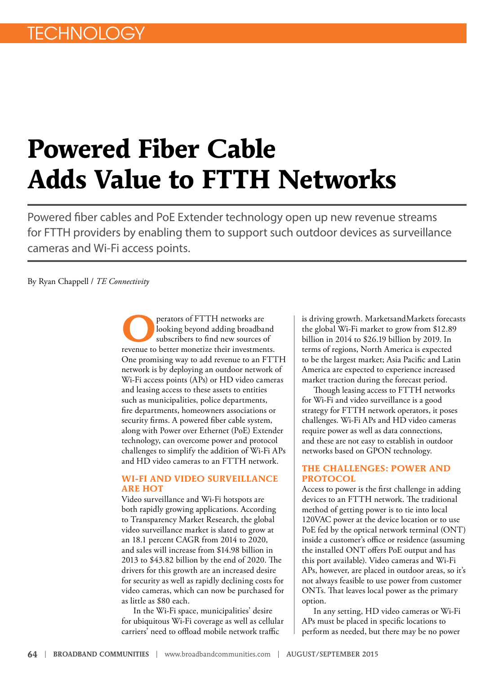# **Powered Fiber Cable Adds Value to FTTH Networks**

Powered fiber cables and PoE Extender technology open up new revenue streams for FTTH providers by enabling them to support such outdoor devices as surveillance cameras and Wi-Fi access points.

By Ryan Chappell / *TE Connectivity*

perators of FTTH networks are looking beyond adding broadband subscribers to find new sources of revenue to better monetize their investments. One promising way to add revenue to an FTTH network is by deploying an outdoor network of Wi-Fi access points (APs) or HD video cameras and leasing access to these assets to entities such as municipalities, police departments, fire departments, homeowners associations or security firms. A powered fiber cable system, along with Power over Ethernet (PoE) Extender technology, can overcome power and protocol challenges to simplify the addition of Wi-Fi APs and HD video cameras to an FTTH network.

#### **WI-FI AND VIDEO SURVEILLANCE ARE HOT**

Video surveillance and Wi-Fi hotspots are both rapidly growing applications. According to Transparency Market Research, the global video surveillance market is slated to grow at an 18.1 percent CAGR from 2014 to 2020, and sales will increase from \$14.98 billion in 2013 to \$43.82 billion by the end of 2020. The drivers for this growth are an increased desire for security as well as rapidly declining costs for video cameras, which can now be purchased for as little as \$80 each.

In the Wi-Fi space, municipalities' desire for ubiquitous Wi-Fi coverage as well as cellular carriers' need to offload mobile network traffic

is driving growth. MarketsandMarkets forecasts the global Wi-Fi market to grow from \$12.89 billion in 2014 to \$26.19 billion by 2019. In terms of regions, North America is expected to be the largest market; Asia Pacific and Latin America are expected to experience increased market traction during the forecast period.

Though leasing access to FTTH networks for Wi-Fi and video surveillance is a good strategy for FTTH network operators, it poses challenges. Wi-Fi APs and HD video cameras require power as well as data connections, and these are not easy to establish in outdoor networks based on GPON technology.

### **THE CHALLENGES: POWER AND PROTOCOL**

Access to power is the first challenge in adding devices to an FTTH network. The traditional method of getting power is to tie into local 120VAC power at the device location or to use PoE fed by the optical network terminal (ONT) inside a customer's office or residence (assuming the installed ONT offers PoE output and has this port available). Video cameras and Wi-Fi APs, however, are placed in outdoor areas, so it's not always feasible to use power from customer ONTs. That leaves local power as the primary option.

In any setting, HD video cameras or Wi-Fi APs must be placed in specific locations to perform as needed, but there may be no power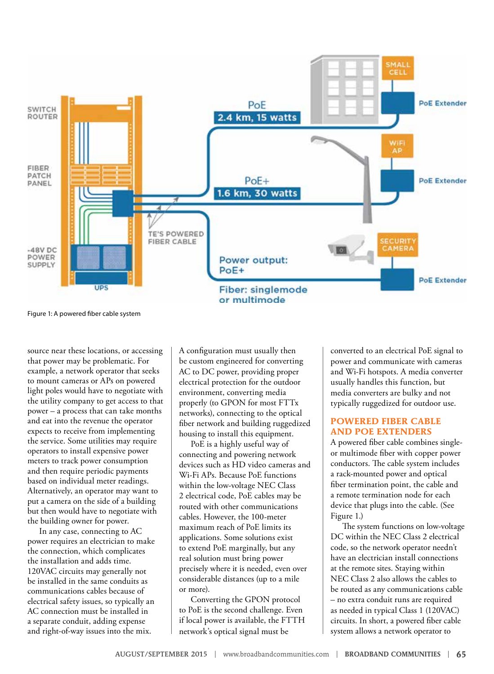

Figure 1: A powered fiber cable system

source near these locations, or accessing that power may be problematic. For example, a network operator that seeks to mount cameras or APs on powered light poles would have to negotiate with the utility company to get access to that power – a process that can take months and eat into the revenue the operator expects to receive from implementing the service. Some utilities may require operators to install expensive power meters to track power consumption and then require periodic payments based on individual meter readings. Alternatively, an operator may want to put a camera on the side of a building but then would have to negotiate with the building owner for power.

In any case, connecting to AC power requires an electrician to make the connection, which complicates the installation and adds time. 120VAC circuits may generally not be installed in the same conduits as communications cables because of electrical safety issues, so typically an AC connection must be installed in a separate conduit, adding expense and right-of-way issues into the mix.

A configuration must usually then be custom engineered for converting AC to DC power, providing proper electrical protection for the outdoor environment, converting media properly (to GPON for most FTTx networks), connecting to the optical fiber network and building ruggedized housing to install this equipment.

PoE is a highly useful way of connecting and powering network devices such as HD video cameras and Wi-Fi APs. Because PoE functions within the low-voltage NEC Class 2 electrical code, PoE cables may be routed with other communications cables. However, the 100-meter maximum reach of PoE limits its applications. Some solutions exist to extend PoE marginally, but any real solution must bring power precisely where it is needed, even over considerable distances (up to a mile or more).

Converting the GPON protocol to PoE is the second challenge. Even if local power is available, the FTTH network's optical signal must be

converted to an electrical PoE signal to power and communicate with cameras and Wi-Fi hotspots. A media converter usually handles this function, but media converters are bulky and not typically ruggedized for outdoor use.

# **POWERED FIBER CABLE AND POE EXTENDERS**

A powered fiber cable combines singleor multimode fiber with copper power conductors. The cable system includes a rack-mounted power and optical fiber termination point, the cable and a remote termination node for each device that plugs into the cable. (See Figure 1.)

The system functions on low-voltage DC within the NEC Class 2 electrical code, so the network operator needn't have an electrician install connections at the remote sites. Staying within NEC Class 2 also allows the cables to be routed as any communications cable – no extra conduit runs are required as needed in typical Class 1 (120VAC) circuits. In short, a powered fiber cable system allows a network operator to